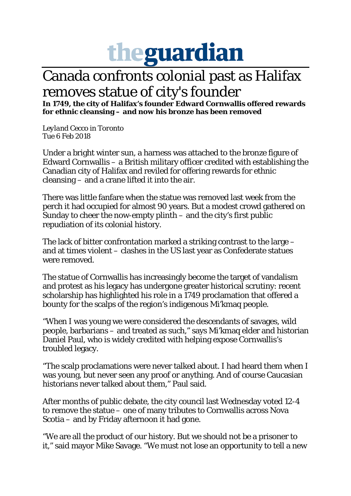## theguardian

## Canada confronts colonial past as Halifax removes statue of city's founder

**In 1749, the city of Halifax's founder Edward Cornwallis offered rewards for ethnic cleansing – and now his bronze has been removed**

*Leyland Cecco in Toronto* Tue 6 Feb 2018

Under a bright winter sun, a harness was attached to the bronze figure of Edward Cornwallis – a British military officer credited with establishing the Canadian city of Halifax and reviled for offering rewards for ethnic cleansing – and a crane lifted it into the air.

There was little fanfare when the statue was removed last week from the perch it had occupied for almost 90 years. But a modest crowd gathered on Sunday to cheer the now-empty plinth – and the city's first public repudiation of its colonial history.

The lack of bitter confrontation marked a striking contrast to the large – and at times violent – clashes in the US last year as Confederate statues were removed.

The statue of Cornwallis has increasingly become the target of vandalism and protest as his legacy has undergone greater historical scrutiny: recent scholarship has highlighted his role in a 1749 proclamation that offered a bounty for the scalps of the region's indigenous Mi'kmaq people.

"When I was young we were considered the descendants of savages, wild people, barbarians – and treated as such," says Mi'kmaq elder and historian Daniel Paul, who is widely credited with helping expose Cornwallis's troubled legacy.

"The scalp proclamations were never talked about. I had heard them when I was young, but never seen any proof or anything. And of course Caucasian historians never talked about them," Paul said.

After months of public debate, the city council last Wednesday voted 12-4 to remove the statue – one of many tributes to Cornwallis across Nova Scotia – and by Friday afternoon it had gone.

"We are all the product of our history. But we should not be a prisoner to it," said mayor Mike Savage. "We must not lose an opportunity to tell a new